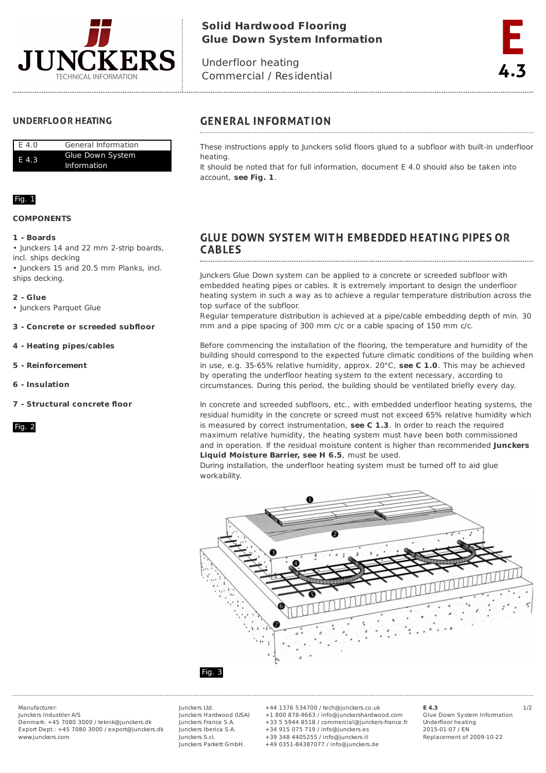

# **Solid Hardwood Flooring Glue Down System Information**

Underfloor heating Commercial / Residential

## **UNDERFLOOR HEATING**

| E 4.0 | General Information |
|-------|---------------------|
| E 4.3 | Glue Down System    |
|       | <b>Information</b>  |

## Fig. 1

### **COMPONENTS**

### **1 - Boards**

• Junckers 14 and 22 mm 2-strip boards, incl. ships decking

• Junckers 15 and 20.5 mm Planks, incl. ships decking.

### **2 - Glue**

• Junckers Parquet Glue

- **3 - Concrete or screeded subfloor**
- **4 - Heating pipes/cables**
- **5 - Reinforcement**
- **6 - Insulation**
- **7 - Structural concrete floor**

Fig. 2

## **GENERAL INFORMATION**

These instructions apply to Junckers solid floors glued to a subfloor with built-in underfloor heating.

It should be noted that for full information, document E 4.0 should also be taken into account, **see Fig. 1**.

## **GLUE DOWN SYSTEM WITH EMBEDDED HEATING PIPES OR CABLES**

Junckers Glue Down system can be applied to a concrete or screeded subfloor with embedded heating pipes or cables. It is extremely important to design the underfloor heating system in such a way as to achieve a regular temperature distribution across the top surface of the subfloor.

Regular temperature distribution is achieved at a pipe/cable embedding depth of min. 30 mm and a pipe spacing of 300 mm c/c or a cable spacing of 150 mm c/c.

Before commencing the installation of the flooring, the temperature and humidity of the building should correspond to the expected future climatic conditions of the building when in use, e.g. 35-65% relative humidity, approx. 20°C, **see C 1.0**. This may be achieved by operating the underfloor heating system to the extent necessary, according to circumstances. During this period, the building should be ventilated briefly every day.

In concrete and screeded subfloors, etc., with embedded underfloor heating systems, the residual humidity in the concrete or screed must not exceed 65% relative humidity which is measured by correct instrumentation, **see C 1.3**. In order to reach the required maximum relative humidity, the heating system must have been both commissioned and in operation. If the residual moisture content is higher than recommended **Junckers Liquid Moisture Barrier, see H 6.5**, must be used.

During installation, the underfloor heating system must be turned off to aid glue workability.



### Fig. 3

Junckers Industrier A/S Denmark: +45 7080 3000 / teknik@junckers.dk Export Dept.: +45 7080 3000 / export@junckers.dk www.junckers.com

Junckers Ltd. Junckers Hardwood (USA) Junckers France S.A. Junckers Iberica S.A. Junckers S.r.I. Junckers Parkett GmbH.

Manufacturer: Junckers Ltd. +44 1376 534700 / tech@junckers.co.uk **E 4.3** 1/2 +1 800 878-9663 / info@junckershardwood.com +33 5 5944 8518 / commercial@junckers-france.fr +34 915 075 719 / info@junckers.es +39 348 4405255 / info@junckers.it +49 0351-84387077 / info@junckers.de

**E 4.3** Glue Down System Information Underfloor heating 2015-01-07 / EN Replacement of 2009-10-22